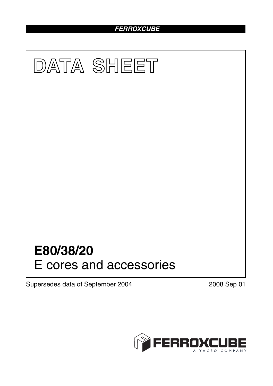# *FERROXCUBE*



Supersedes data of September 2004 2008 Sep 01

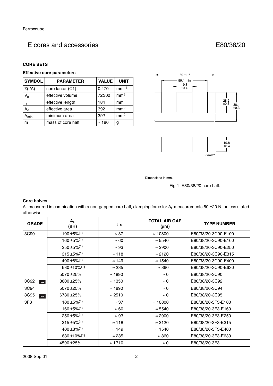### E cores and accessories E80/38/20

### **CORE SETS**

### **Effective core parameters**

| <b>SYMBOL</b>  | <b>PARAMETER</b>  | <b>VALUE</b>  | <b>UNIT</b>     |
|----------------|-------------------|---------------|-----------------|
| $\Sigma(I/A)$  | core factor (C1)  | 0.470         | $mm-1$          |
| $V_{e}$        | effective volume  | 72300         | mm <sup>3</sup> |
| l <sub>e</sub> | effective length  | 184           | mm              |
| $A_{\rm e}$    | effective area    | 392           | mm <sup>2</sup> |
| $A_{min}$      | minimum area      | 392           | mm <sup>2</sup> |
| m              | mass of core half | $\approx$ 180 | g               |



### **Core halves**

 $A_L$  measured in combination with a non-gapped core half, clamping force for  $A_L$  measurements 60  $\pm$ 20 N, unless stated otherwise.

| <b>GRADE</b>    | $A_{L}$<br>(nH)                       | $\mu_{\mathbf{e}}$ | <b>TOTAL AIR GAP</b><br>$(\mu m)$ | <b>TYPE NUMBER</b>  |
|-----------------|---------------------------------------|--------------------|-----------------------------------|---------------------|
| 3C90            | $100 \pm 5\%$ <sup>(1)</sup>          | $\approx 37$       | $\approx 10800$                   | E80/38/20-3C90-E100 |
|                 | $160 \pm 5\%$ <sup>(1)</sup>          | $\approx 60$       | $\approx 5540$                    | E80/38/20-3C90-E160 |
|                 | $250 \pm 5\%$ <sup>(1)</sup>          | $\approx 93$       | $\approx 2900$                    | E80/38/20-3C90-E250 |
|                 | $315 \pm 5\%/1)$                      | $\approx 118$      | $\approx 2120$                    | E80/38/20-3C90-E315 |
|                 | $400 \pm 8\%/1$                       | $\approx 149$      | $\approx$ 1540                    | E80/38/20-3C90-E400 |
|                 | 630 ±10% $(1)$                        | $\approx 235$      | $\approx 860$                     | E80/38/20-3C90-E630 |
|                 | 5070 ±25%                             | $\approx$ 1890     | $\approx 0$                       | E80/38/20-3C90      |
| 3C92<br>des     | 3600 ± 25%                            | $\approx$ 1350     | $\approx 0$                       | E80/38/20-3C92      |
| 3C94            | 5070 ±25%                             | $\approx$ 1890     | $\approx 0$                       | E80/38/20-3C94      |
| 3C95<br>des     | 6730 ± 25%                            | $\approx$ 2510     | $\approx 0$                       | E80/38/20-3C95      |
| 3F <sub>3</sub> | $100 \pm 5\%$ <sup>(1)</sup>          | $\approx$ 37       | $\approx 10800$                   | E80/38/20-3F3-E100  |
|                 | $160 + 5\%/1$                         | $\approx 60$       | $\approx 5540$                    | E80/38/20-3F3-E160  |
|                 | $250 \pm 5\%/1)$                      | $\approx 93$       | $\approx 2900$                    | E80/38/20-3F3-E250  |
|                 | $315 + 5\%/1$                         | $\approx$ 118      | $\approx 2120$                    | E80/38/20-3F3-E315  |
|                 | $400 \pm 8\%/1$                       | $\approx$ 149      | $\approx$ 1540                    | E80/38/20-3F3-E400  |
|                 | 630 ± 10% <sup><math>(1)</math></sup> | $\approx 235$      | $\approx 860$                     | E80/38/20-3F3-E630  |
|                 | 4590 ±25%                             | $\approx$ 1710     | $\approx 0$                       | E80/38/20-3F3       |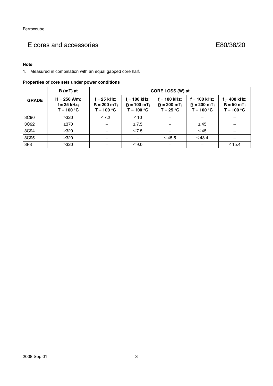# E cores and accessories E80/38/20

### **Note**

1. Measured in combination with an equal gapped core half.

|  |  |  | Properties of core sets under power conditions |
|--|--|--|------------------------------------------------|
|  |  |  |                                                |

|                 | B (mT) at                                       | CORE LOSS (W) at                             |                                               |                                               |                                                |                                               |  |  |
|-----------------|-------------------------------------------------|----------------------------------------------|-----------------------------------------------|-----------------------------------------------|------------------------------------------------|-----------------------------------------------|--|--|
| <b>GRADE</b>    | $H = 250$ A/m;<br>$f = 25$ kHz;<br>$T = 100 °C$ | f = 25 kHz;<br>$B = 200$ mT;<br>$T = 100 °C$ | i = 100 kHz;<br>$B = 100$ mT;<br>$T = 100 °C$ | $= 100$ kHz;<br>$B = 200 mT$ ;<br>$T = 25 °C$ | $= 100$ kHz;<br>$B = 200 mT$ ;<br>$T = 100 °C$ | $= 400$ kHz;<br>$B = 50 mT$ ;<br>$T = 100 °C$ |  |  |
| 3C90            | $\geq 320$                                      | $\leq 7.2$                                   | $\leq 10$                                     |                                               |                                                |                                               |  |  |
| 3C92            | $\geq$ 370                                      |                                              | $\leq 7.5$                                    |                                               | $\leq 45$                                      |                                               |  |  |
| 3C94            | $\geq 320$                                      |                                              | $\leq 7.5$                                    |                                               | $\leq 45$                                      |                                               |  |  |
| 3C95            | $\geq 320$                                      |                                              |                                               | $\leq 45.5$                                   | $\leq 43.4$                                    |                                               |  |  |
| 3F <sub>3</sub> | $\geq 320$                                      |                                              | $\leq 9.0$                                    |                                               |                                                | $\leq 15.4$                                   |  |  |